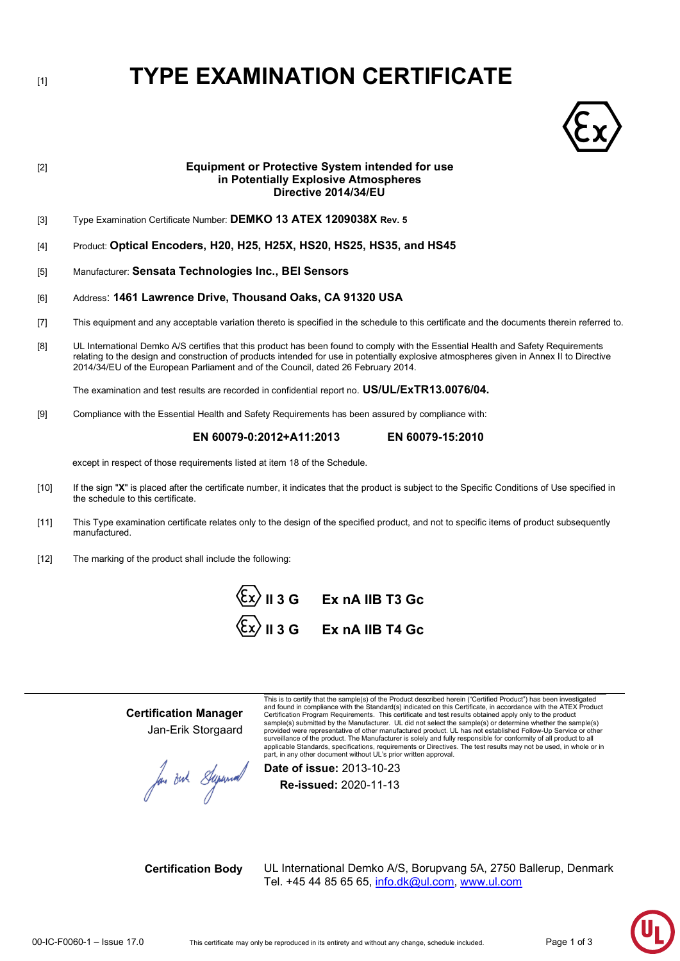# [1] **TYPE EXAMINATION CERTIFICATE**



## [2] **Equipment or Protective System intended for use in Potentially Explosive Atmospheres Directive 2014/34/EU** [3] Type Examination Certificate Number: **DEMKO 13 ATEX 1209038X Rev. 5** [4] Product: **Optical Encoders, H20, H25, H25X, HS20, HS25, HS35, and HS45** [5] Manufacturer: **Sensata Technologies Inc., BEI Sensors** [6] Address: **1461 Lawrence Drive, Thousand Oaks, CA 91320 USA** [7] This equipment and any acceptable variation thereto is specified in the schedule to this certificate and the documents therein referred to. [8] UL International Demko A/S certifies that this product has been found to comply with the Essential Health and Safety Requirements relating to the design and construction of products intended for use in potentially explosive atmospheres given in Annex II to Directive 2014/34/EU of the European Parliament and of the Council, dated 26 February 2014. The examination and test results are recorded in confidential report no. **US/UL/ExTR13.0076/04.** [9] Compliance with the Essential Health and Safety Requirements has been assured by compliance with:  **EN 60079-0:2012+A11:2013 EN 60079-15:2010** except in respect of those requirements listed at item 18 of the Schedule. [10] If the sign "**X**" is placed after the certificate number, it indicates that the product is subject to the Specific Conditions of Use specified in the schedule to this certificate.

- [11] This Type examination certificate relates only to the design of the specified product, and not to specific items of product subsequently manufactured.
- [12] The marking of the product shall include the following:



**Certification Manager** Jan-Erik Storgaard

Jou out Superior

This is to certify that the sample(s) of the Product described herein ("Certified Product") has been investigated and found in compliance with the Standard(s) indicated on this Certificate, in accordance with the ATEX Product Certification Program Requirements. This certificate and test results obtained apply only to the product sample(s) submitted by the Manufacturer. UL did not select the sample(s) or determine whether the sample(s)<br>provided were representative of other manufactured product. UL has not established Follow-Up Service or other surveillance of the product. The Manufacturer is solely and fully responsible for conformity of all product to all<br>applicable Standards, specifications, requirements or Directives. The test results may not be used, in whol part, in any other document without UL's prior written approval.

**Date of issue:** 2013-10-23

**Re-issued:** 2020-11-13

**Certification Body** UL International Demko A/S, Borupvang 5A, 2750 Ballerup, Denmark Tel. +45 44 85 65 65, info.dk@ul.com, [www.ul.com](http://www.ul.com/)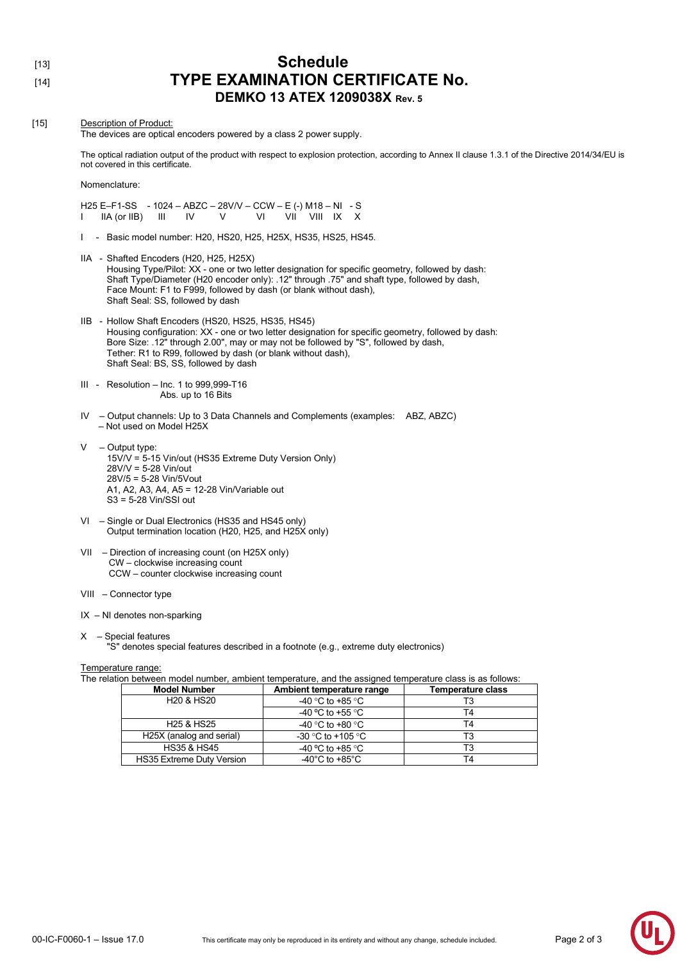- 
- 

### [13] **Schedule** [14] **TYPE EXAMINATION CERTIFICATE No. DEMKO 13 ATEX 1209038X Rev. 5**

#### [15] Description of Product: The devices are optical encoders powered by a class 2 power supply. The optical radiation output of the product with respect to explosion protection, according to Annex II clause 1.3.1 of the Directive 2014/34/EU is not covered in this certificate. Nomenclature: H25 E–F1-SS - 1024 – ABZC – 28V/V – CCW – E (-) M18 – NI - S I IIA (or IIB) III IV V VI VII VIII IX X I - Basic model number: H20, HS20, H25, H25X, HS35, HS25, HS45. IIA - Shafted Encoders (H20, H25, H25X) Housing Type/Pilot: XX - one or two letter designation for specific geometry, followed by dash: Shaft Type/Diameter (H20 encoder only): .12" through .75" and shaft type, followed by dash, Face Mount: F1 to F999, followed by dash (or blank without dash), Shaft Seal: SS, followed by dash IIB - Hollow Shaft Encoders (HS20, HS25, HS35, HS45) Housing configuration: XX - one or two letter designation for specific geometry, followed by dash: Bore Size: .12" through 2.00", may or may not be followed by "S", followed by dash, Tether: R1 to R99, followed by dash (or blank without dash), Shaft Seal: BS, SS, followed by dash III - Resolution – Inc. 1 to 999,999-T16 Abs. up to 16 Bits IV – Output channels: Up to 3 Data Channels and Complements (examples: ABZ, ABZC) – Not used on Model H25X – Output type: 15V/V = 5-15 Vin/out (HS35 Extreme Duty Version Only) 28V/V = 5-28 Vin/out 28V/5 = 5-28 Vin/5Vout A1, A2, A3, A4, A5 = 12-28 Vin/Variable out S3 = 5-28 Vin/SSI out

- VI Single or Dual Electronics (HS35 and HS45 only) Output termination location (H20, H25, and H25X only)
- VII Direction of increasing count (on H25X only) CW – clockwise increasing count CCW – counter clockwise increasing count
- VIII Connector type
- IX NI denotes non-sparking
- X Special features
	- "S" denotes special features described in a footnote (e.g., extreme duty electronics)

#### Temperature range:

The relation between model number, ambient temperature, and the assigned temperature class is as follows:

| <b>Model Number</b>                | Ambient temperature range            | Temperature class |
|------------------------------------|--------------------------------------|-------------------|
| H <sub>20</sub> & H <sub>S20</sub> | -40 °C to +85 °C                     | T3                |
|                                    | -40 °C to +55 °C                     | T4                |
| H <sub>25</sub> & H <sub>S25</sub> | -40 °C to +80 °C                     | T4                |
| H25X (analog and serial)           | -30 °C to +105 °C                    |                   |
| <b>HS35 &amp; HS45</b>             | -40 °C to +85 °C                     | T3                |
| <b>HS35 Extreme Duty Version</b>   | -40 $^{\circ}$ C to +85 $^{\circ}$ C | T4                |